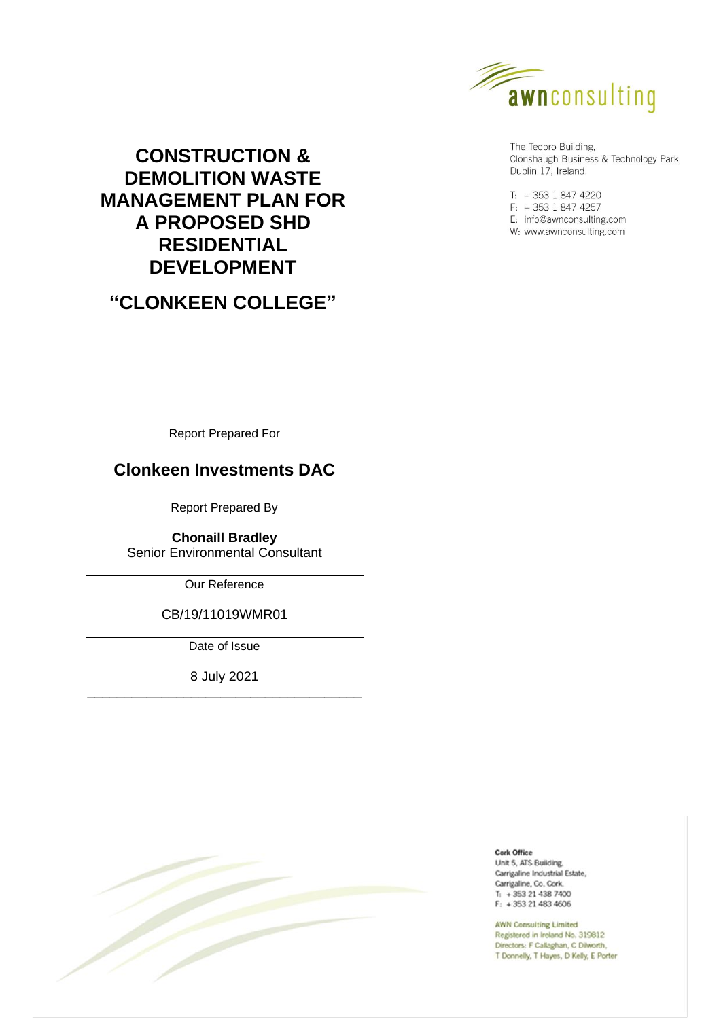

The Tecpro Building, Clonshaugh Business & Technology Park, Dublin 17, Ireland.

 $T: +35318474220$  $F: +35318474257$ E: info@awnconsulting.com W: www.awnconsulting.com

# **CONSTRUCTION & DEMOLITION WASTE MANAGEMENT PLAN FOR A PROPOSED SHD RESIDENTIAL DEVELOPMENT**

**"CLONKEEN COLLEGE"**

Report Prepared For

# **Clonkeen Investments DAC**

Report Prepared By

**Chonaill Bradley** Senior Environmental Consultant

Our Reference

CB/19/11019WMR01

Date of Issue

8 July 2021 \_\_\_\_\_\_\_\_\_\_\_\_\_\_\_\_\_\_\_\_\_\_\_\_\_\_\_\_\_\_\_\_\_\_\_\_\_



Cork Office Unit 5, ATS Building. Carrigaline Industrial Estate, Carrigaline, Co. Cork.

 $T_1$  + 353 21 438 7400  $F: +353214834606$ 

**AWN Consulting Limited** Registered in Ireland No. 319812 Directors: F Callaghan, C Dilworth, T Donnelly, T Hayes, D Kelly, E Porter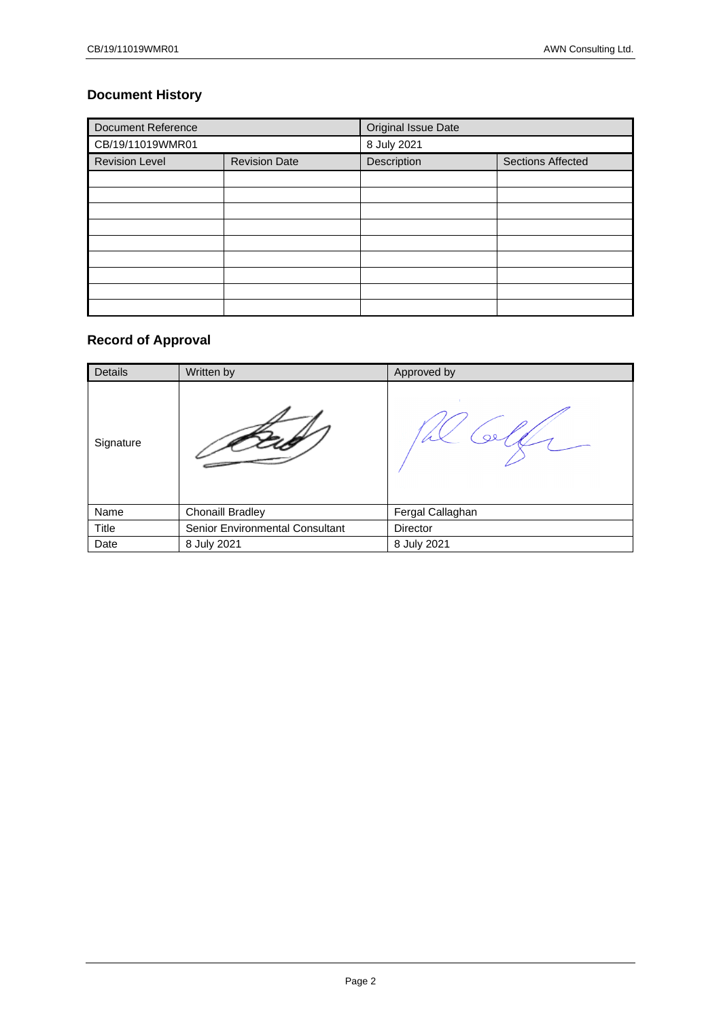# **Document History**

| <b>Document Reference</b> |                      | Original Issue Date |                          |  |  |
|---------------------------|----------------------|---------------------|--------------------------|--|--|
| CB/19/11019WMR01          |                      | 8 July 2021         |                          |  |  |
| <b>Revision Level</b>     | <b>Revision Date</b> |                     | <b>Sections Affected</b> |  |  |
|                           |                      |                     |                          |  |  |
|                           |                      |                     |                          |  |  |
|                           |                      |                     |                          |  |  |
|                           |                      |                     |                          |  |  |
|                           |                      |                     |                          |  |  |
|                           |                      |                     |                          |  |  |
|                           |                      |                     |                          |  |  |
|                           |                      |                     |                          |  |  |
|                           |                      |                     |                          |  |  |

# **Record of Approval**

| Details   | Written by                      | Approved by      |
|-----------|---------------------------------|------------------|
| Signature |                                 |                  |
| Name      | <b>Chonaill Bradley</b>         | Fergal Callaghan |
| Title     | Senior Environmental Consultant | Director         |
| Date      | 8 July 2021                     | 8 July 2021      |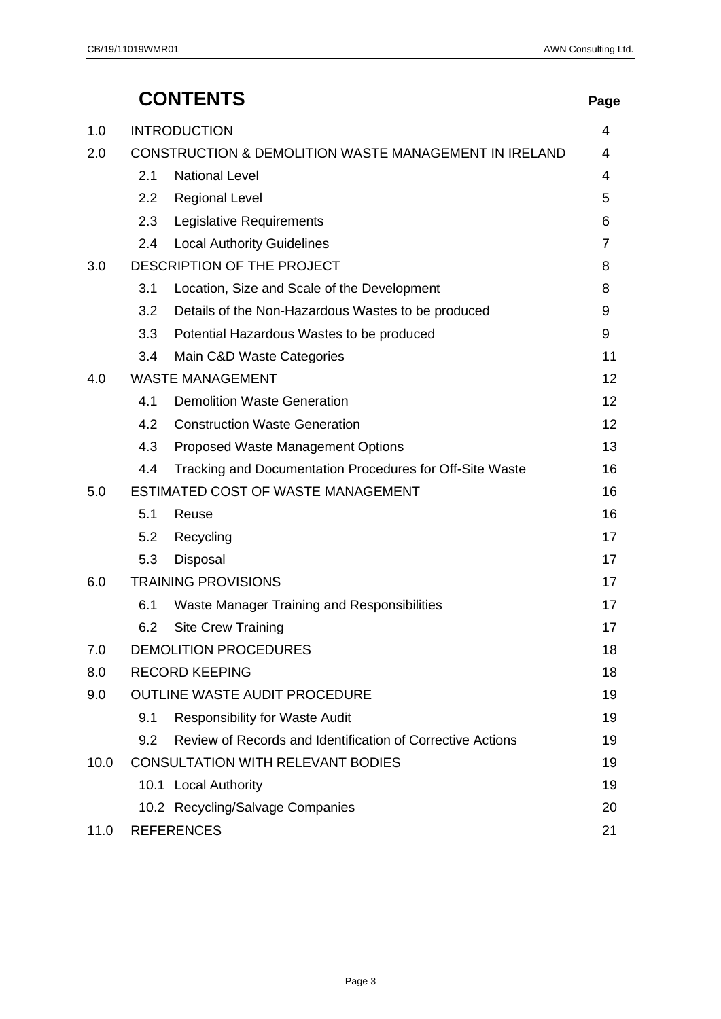# **CONTENTS Page**

| 1.0  |     | <b>INTRODUCTION</b>                                              |                 |  |
|------|-----|------------------------------------------------------------------|-----------------|--|
| 2.0  |     | <b>CONSTRUCTION &amp; DEMOLITION WASTE MANAGEMENT IN IRELAND</b> | 4               |  |
|      | 2.1 | <b>National Level</b>                                            | 4               |  |
|      | 2.2 | <b>Regional Level</b>                                            | 5               |  |
|      | 2.3 | Legislative Requirements                                         | 6               |  |
|      | 2.4 | <b>Local Authority Guidelines</b>                                | $\overline{7}$  |  |
| 3.0  |     | DESCRIPTION OF THE PROJECT                                       | 8               |  |
|      | 3.1 | Location, Size and Scale of the Development                      | 8               |  |
|      | 3.2 | Details of the Non-Hazardous Wastes to be produced               | 9               |  |
|      | 3.3 | Potential Hazardous Wastes to be produced                        | 9               |  |
|      | 3.4 | Main C&D Waste Categories                                        | 11              |  |
| 4.0  |     | <b>WASTE MANAGEMENT</b>                                          | 12              |  |
|      | 4.1 | <b>Demolition Waste Generation</b>                               | 12              |  |
|      | 4.2 | <b>Construction Waste Generation</b>                             | 12 <sup>2</sup> |  |
|      | 4.3 | Proposed Waste Management Options                                | 13              |  |
|      | 4.4 | Tracking and Documentation Procedures for Off-Site Waste         | 16              |  |
| 5.0  |     | ESTIMATED COST OF WASTE MANAGEMENT                               | 16              |  |
|      | 5.1 | Reuse                                                            | 16              |  |
|      | 5.2 | Recycling                                                        | 17              |  |
|      | 5.3 | Disposal                                                         | 17              |  |
| 6.0  |     | <b>TRAINING PROVISIONS</b>                                       | 17              |  |
|      | 6.1 | Waste Manager Training and Responsibilities                      | 17              |  |
|      | 6.2 | <b>Site Crew Training</b>                                        | 17              |  |
| 7.0  |     | <b>DEMOLITION PROCEDURES</b>                                     | 18              |  |
| 8.0  |     | <b>RECORD KEEPING</b>                                            | 18              |  |
| 9.0  |     | OUTLINE WASTE AUDIT PROCEDURE                                    | 19              |  |
|      | 9.1 | <b>Responsibility for Waste Audit</b>                            | 19              |  |
|      | 9.2 | Review of Records and Identification of Corrective Actions       | 19              |  |
| 10.0 |     | <b>CONSULTATION WITH RELEVANT BODIES</b>                         | 19              |  |
|      |     | 10.1 Local Authority                                             | 19              |  |
|      |     | 10.2 Recycling/Salvage Companies                                 | 20              |  |
| 11.0 |     | <b>REFERENCES</b>                                                | 21              |  |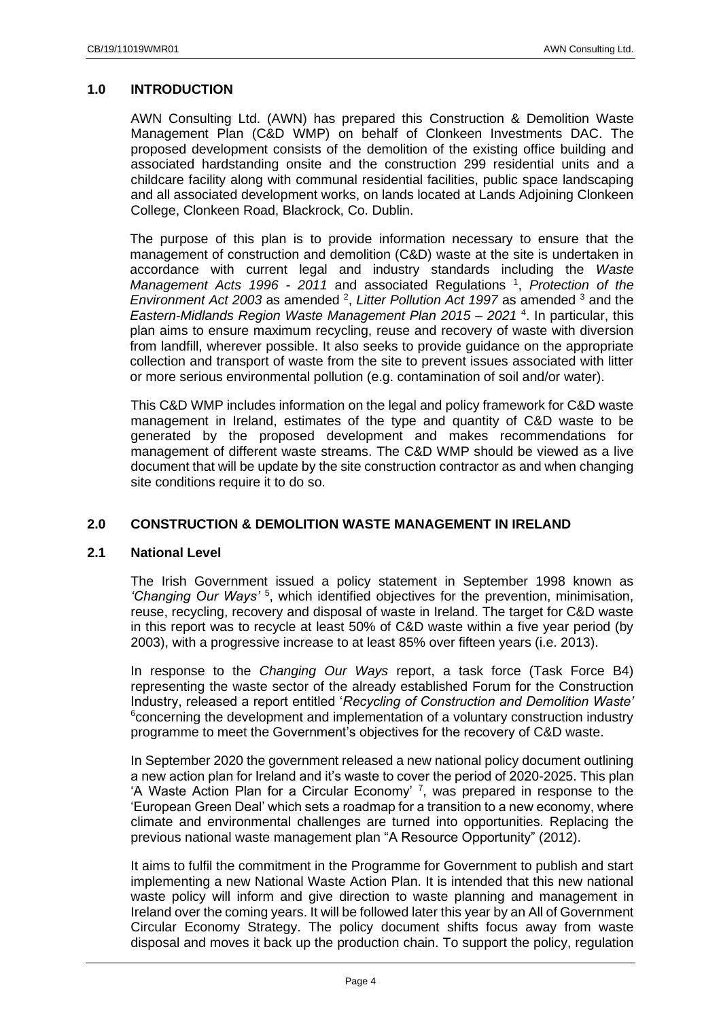## <span id="page-3-0"></span>**1.0 INTRODUCTION**

AWN Consulting Ltd. (AWN) has prepared this Construction & Demolition Waste Management Plan (C&D WMP) on behalf of Clonkeen Investments DAC. The proposed development consists of the demolition of the existing office building and associated hardstanding onsite and the construction 299 residential units and a childcare facility along with communal residential facilities, public space landscaping and all associated development works, on lands located at Lands Adjoining Clonkeen College, Clonkeen Road, Blackrock, Co. Dublin.

The purpose of this plan is to provide information necessary to ensure that the management of construction and demolition (C&D) waste at the site is undertaken in accordance with current legal and industry standards including the *Waste*  Management Acts 1996 - 2011 and associated Regulations <sup>1</sup>, Protection of the Environment Act 2003 as amended <sup>2</sup>, Litter Pollution Act 1997 as amended <sup>3</sup> and the *Eastern-Midlands Region Waste Management Plan 2015 – 2021* <sup>4</sup> . In particular, this plan aims to ensure maximum recycling, reuse and recovery of waste with diversion from landfill, wherever possible. It also seeks to provide guidance on the appropriate collection and transport of waste from the site to prevent issues associated with litter or more serious environmental pollution (e.g. contamination of soil and/or water).

This C&D WMP includes information on the legal and policy framework for C&D waste management in Ireland, estimates of the type and quantity of C&D waste to be generated by the proposed development and makes recommendations for management of different waste streams. The C&D WMP should be viewed as a live document that will be update by the site construction contractor as and when changing site conditions require it to do so.

## <span id="page-3-1"></span>**2.0 CONSTRUCTION & DEMOLITION WASTE MANAGEMENT IN IRELAND**

## <span id="page-3-2"></span>**2.1 National Level**

The Irish Government issued a policy statement in September 1998 known as *'Changing Our Ways'* <sup>5</sup> , which identified objectives for the prevention, minimisation, reuse, recycling, recovery and disposal of waste in Ireland. The target for C&D waste in this report was to recycle at least 50% of C&D waste within a five year period (by 2003), with a progressive increase to at least 85% over fifteen years (i.e. 2013).

In response to the *Changing Our Ways* report, a task force (Task Force B4) representing the waste sector of the already established Forum for the Construction Industry, released a report entitled '*Recycling of Construction and Demolition Waste'* <sup>6</sup>concerning the development and implementation of a voluntary construction industry programme to meet the Government's objectives for the recovery of C&D waste.

In September 2020 the government released a new national policy document outlining a new action plan for Ireland and it's waste to cover the period of 2020-2025. This plan 'A Waste Action Plan for a Circular Economy'  $^7$ , was prepared in response to the 'European Green Deal' which sets a roadmap for a transition to a new economy, where climate and environmental challenges are turned into opportunities. Replacing the previous national waste management plan "A Resource Opportunity" (2012).

It aims to fulfil the commitment in the Programme for Government to publish and start implementing a new National Waste Action Plan. It is intended that this new national waste policy will inform and give direction to waste planning and management in Ireland over the coming years. It will be followed later this year by an All of Government Circular Economy Strategy. The policy document shifts focus away from waste disposal and moves it back up the production chain. To support the policy, regulation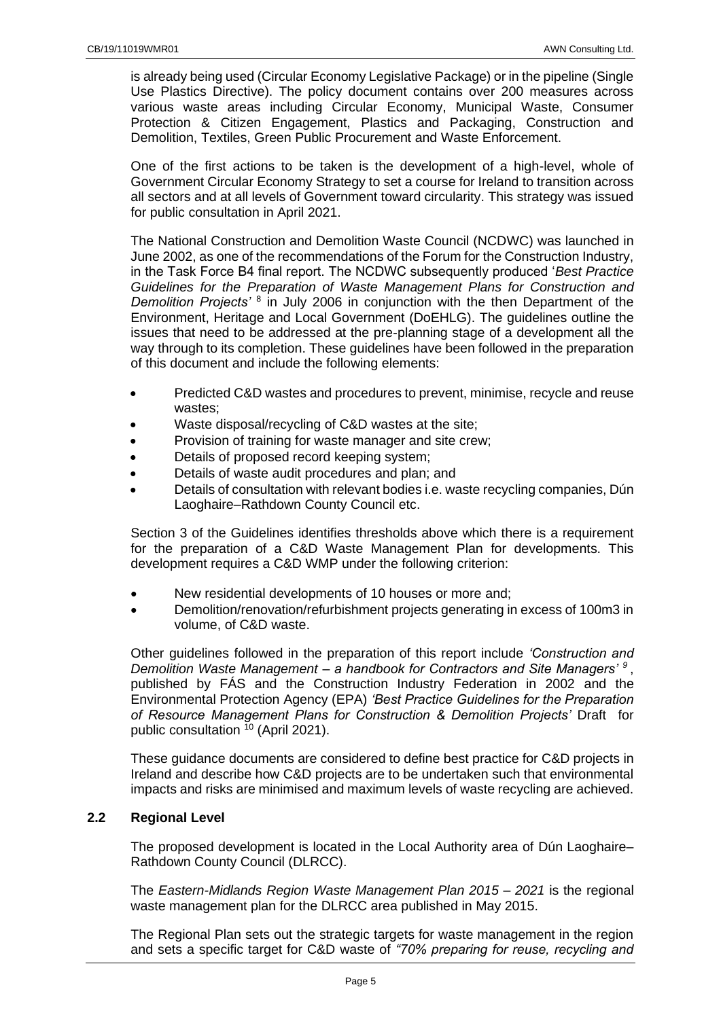is already being used (Circular Economy Legislative Package) or in the pipeline (Single Use Plastics Directive). The policy document contains over 200 measures across various waste areas including Circular Economy, Municipal Waste, Consumer Protection & Citizen Engagement, Plastics and Packaging, Construction and Demolition, Textiles, Green Public Procurement and Waste Enforcement.

One of the first actions to be taken is the development of a high-level, whole of Government Circular Economy Strategy to set a course for Ireland to transition across all sectors and at all levels of Government toward circularity. This strategy was issued for public consultation in April 2021.

The National Construction and Demolition Waste Council (NCDWC) was launched in June 2002, as one of the recommendations of the Forum for the Construction Industry, in the Task Force B4 final report. The NCDWC subsequently produced '*Best Practice Guidelines for the Preparation of Waste Management Plans for Construction and*  Demolition Projects<sup>'8</sup> in July 2006 in conjunction with the then Department of the Environment, Heritage and Local Government (DoEHLG). The guidelines outline the issues that need to be addressed at the pre-planning stage of a development all the way through to its completion. These guidelines have been followed in the preparation of this document and include the following elements:

- Predicted C&D wastes and procedures to prevent, minimise, recycle and reuse wastes;
- Waste disposal/recycling of C&D wastes at the site;
- Provision of training for waste manager and site crew;
- Details of proposed record keeping system;
- Details of waste audit procedures and plan; and
- Details of consultation with relevant bodies i.e. waste recycling companies, Dún Laoghaire–Rathdown County Council etc.

Section 3 of the Guidelines identifies thresholds above which there is a requirement for the preparation of a C&D Waste Management Plan for developments. This development requires a C&D WMP under the following criterion:

- New residential developments of 10 houses or more and;
- Demolition/renovation/refurbishment projects generating in excess of 100m3 in volume, of C&D waste.

Other guidelines followed in the preparation of this report include *'Construction and Demolition Waste Management – a handbook for Contractors and Site Managers' <sup>9</sup>* , published by FÁS and the Construction Industry Federation in 2002 and the Environmental Protection Agency (EPA) *'Best Practice Guidelines for the Preparation of Resource Management Plans for Construction & Demolition Projects'* Draft for public consultation <sup>10</sup> (April 2021).

These guidance documents are considered to define best practice for C&D projects in Ireland and describe how C&D projects are to be undertaken such that environmental impacts and risks are minimised and maximum levels of waste recycling are achieved.

## <span id="page-4-0"></span>**2.2 Regional Level**

The proposed development is located in the Local Authority area of Dún Laoghaire– Rathdown County Council (DLRCC).

The *Eastern-Midlands Region Waste Management Plan 2015 – 2021* is the regional waste management plan for the DLRCC area published in May 2015.

The Regional Plan sets out the strategic targets for waste management in the region and sets a specific target for C&D waste of *"70% preparing for reuse, recycling and*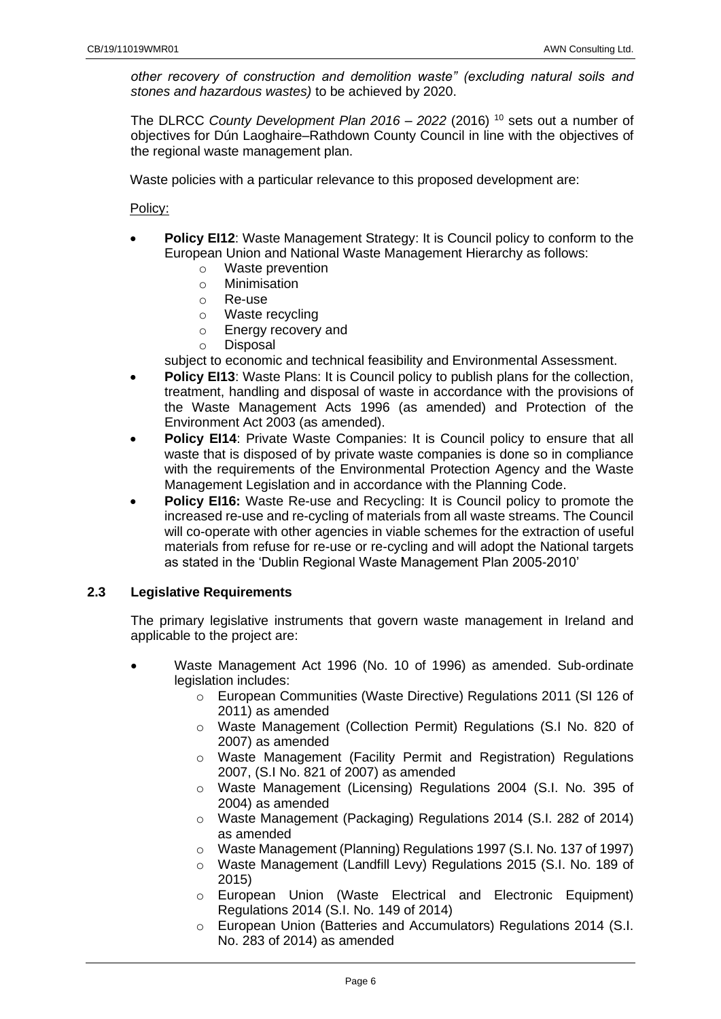*other recovery of construction and demolition waste" (excluding natural soils and stones and hazardous wastes)* to be achieved by 2020.

The DLRCC *County Development Plan 2016 – 2022* (2016) <sup>10</sup> sets out a number of objectives for Dún Laoghaire–Rathdown County Council in line with the objectives of the regional waste management plan.

Waste policies with a particular relevance to this proposed development are:

Policy:

- **Policy EI12**: Waste Management Strategy: It is Council policy to conform to the European Union and National Waste Management Hierarchy as follows:
	- o Waste prevention
	- o Minimisation
	- o Re-use
	- o Waste recycling
	- o Energy recovery and
	- o Disposal
	- subject to economic and technical feasibility and Environmental Assessment.
- **Policy EI13:** Waste Plans: It is Council policy to publish plans for the collection, treatment, handling and disposal of waste in accordance with the provisions of the Waste Management Acts 1996 (as amended) and Protection of the Environment Act 2003 (as amended).
- **Policy EI14:** Private Waste Companies: It is Council policy to ensure that all waste that is disposed of by private waste companies is done so in compliance with the requirements of the Environmental Protection Agency and the Waste Management Legislation and in accordance with the Planning Code.
- **Policy EI16:** Waste Re-use and Recycling: It is Council policy to promote the increased re-use and re-cycling of materials from all waste streams. The Council will co-operate with other agencies in viable schemes for the extraction of useful materials from refuse for re-use or re-cycling and will adopt the National targets as stated in the 'Dublin Regional Waste Management Plan 2005-2010'

## <span id="page-5-0"></span>**2.3 Legislative Requirements**

The primary legislative instruments that govern waste management in Ireland and applicable to the project are:

- Waste Management Act 1996 (No. 10 of 1996) as amended. Sub-ordinate legislation includes:
	- $\circ$  European Communities (Waste Directive) Regulations 2011 (SI 126 of 2011) as amended
	- o Waste Management (Collection Permit) Regulations (S.I No. 820 of 2007) as amended
	- o Waste Management (Facility Permit and Registration) Regulations 2007, (S.I No. 821 of 2007) as amended
	- o Waste Management (Licensing) Regulations 2004 (S.I. No. 395 of 2004) as amended
	- o Waste Management (Packaging) Regulations 2014 (S.I. 282 of 2014) as amended
	- o Waste Management (Planning) Regulations 1997 (S.I. No. 137 of 1997)
	- o Waste Management (Landfill Levy) Regulations 2015 (S.I. No. 189 of 2015)
	- o European Union (Waste Electrical and Electronic Equipment) Regulations 2014 (S.I. No. 149 of 2014)
	- o European Union (Batteries and Accumulators) Regulations 2014 (S.I. No. 283 of 2014) as amended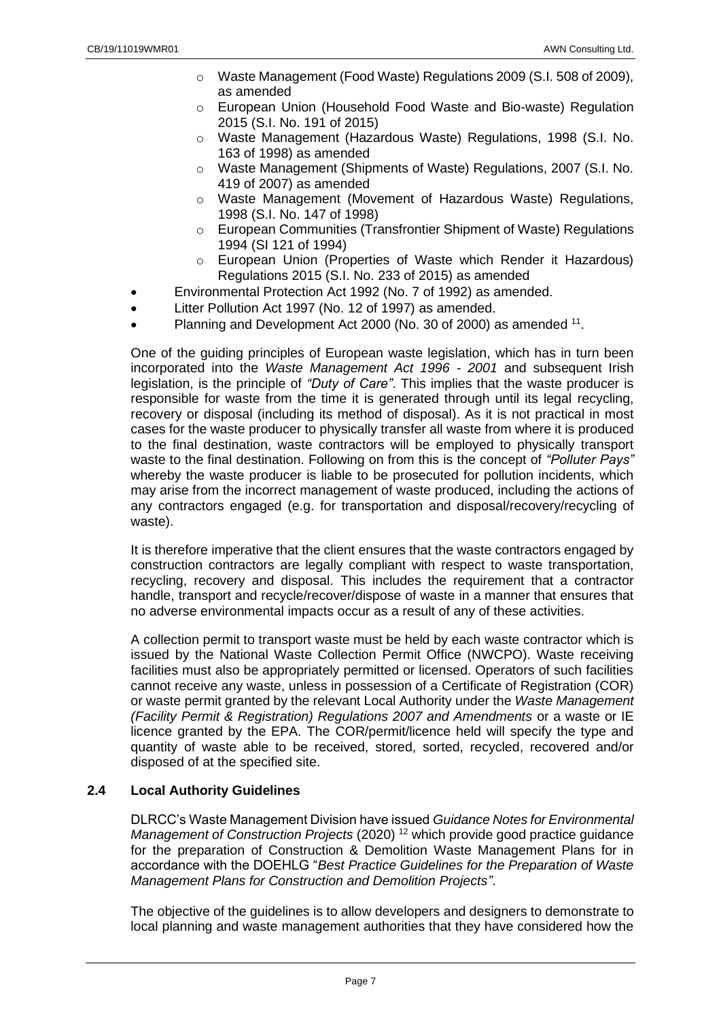- o Waste Management (Food Waste) Regulations 2009 (S.I. 508 of 2009), as amended
- o European Union (Household Food Waste and Bio-waste) Regulation 2015 (S.I. No. 191 of 2015)
- o Waste Management (Hazardous Waste) Regulations, 1998 (S.I. No. 163 of 1998) as amended
- o Waste Management (Shipments of Waste) Regulations, 2007 (S.I. No. 419 of 2007) as amended
- o Waste Management (Movement of Hazardous Waste) Regulations, 1998 (S.I. No. 147 of 1998)
- o European Communities (Transfrontier Shipment of Waste) Regulations 1994 (SI 121 of 1994)
- o European Union (Properties of Waste which Render it Hazardous) Regulations 2015 (S.I. No. 233 of 2015) as amended
- Environmental Protection Act 1992 (No. 7 of 1992) as amended.
- Litter Pollution Act 1997 (No. 12 of 1997) as amended.
- Planning and Development Act 2000 (No. 30 of 2000) as amended <sup>11</sup>.

One of the guiding principles of European waste legislation, which has in turn been incorporated into the *Waste Management Act 1996 - 2001* and subsequent Irish legislation, is the principle of *"Duty of Care"*. This implies that the waste producer is responsible for waste from the time it is generated through until its legal recycling, recovery or disposal (including its method of disposal). As it is not practical in most cases for the waste producer to physically transfer all waste from where it is produced to the final destination, waste contractors will be employed to physically transport waste to the final destination. Following on from this is the concept of *"Polluter Pays"* whereby the waste producer is liable to be prosecuted for pollution incidents, which may arise from the incorrect management of waste produced, including the actions of any contractors engaged (e.g. for transportation and disposal/recovery/recycling of waste).

It is therefore imperative that the client ensures that the waste contractors engaged by construction contractors are legally compliant with respect to waste transportation, recycling, recovery and disposal. This includes the requirement that a contractor handle, transport and recycle/recover/dispose of waste in a manner that ensures that no adverse environmental impacts occur as a result of any of these activities.

A collection permit to transport waste must be held by each waste contractor which is issued by the National Waste Collection Permit Office (NWCPO). Waste receiving facilities must also be appropriately permitted or licensed. Operators of such facilities cannot receive any waste, unless in possession of a Certificate of Registration (COR) or waste permit granted by the relevant Local Authority under the *Waste Management (Facility Permit & Registration) Regulations 2007 and Amendments* or a waste or IE licence granted by the EPA. The COR/permit/licence held will specify the type and quantity of waste able to be received, stored, sorted, recycled, recovered and/or disposed of at the specified site.

## <span id="page-6-0"></span>**2.4 Local Authority Guidelines**

DLRCC's Waste Management Division have issued *Guidance Notes for Environmental Management of Construction Projects* (2020) <sup>12</sup> which provide good practice guidance for the preparation of Construction & Demolition Waste Management Plans for in accordance with the DOEHLG "*Best Practice Guidelines for the Preparation of Waste Management Plans for Construction and Demolition Projects"*.

The objective of the guidelines is to allow developers and designers to demonstrate to local planning and waste management authorities that they have considered how the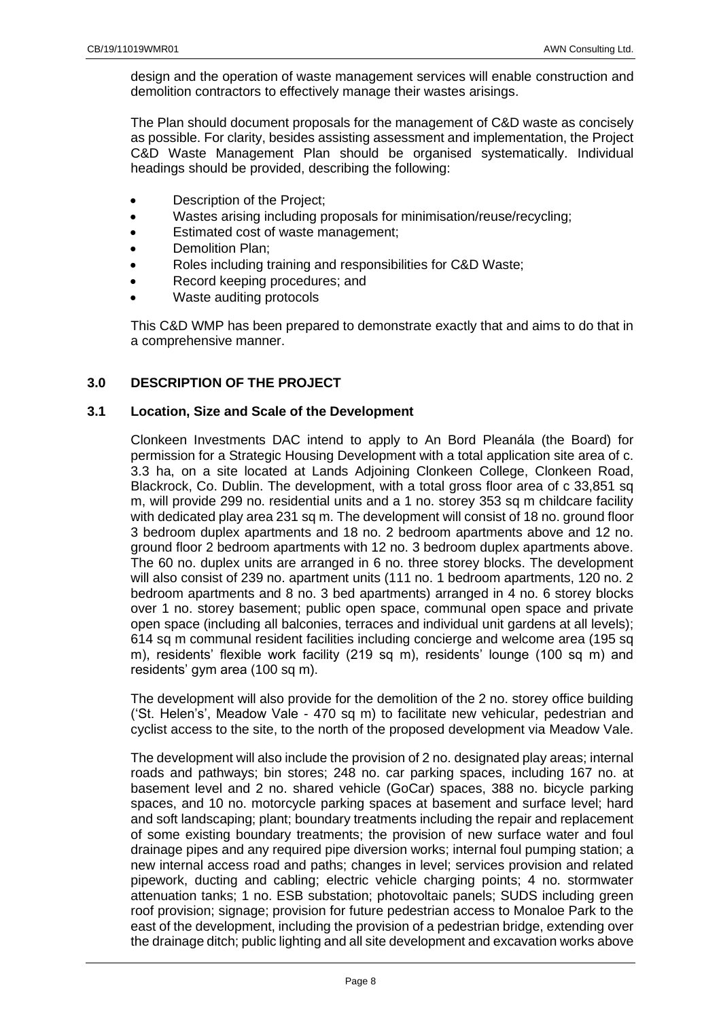design and the operation of waste management services will enable construction and demolition contractors to effectively manage their wastes arisings.

The Plan should document proposals for the management of C&D waste as concisely as possible. For clarity, besides assisting assessment and implementation, the Project C&D Waste Management Plan should be organised systematically. Individual headings should be provided, describing the following:

- Description of the Project:
- Wastes arising including proposals for minimisation/reuse/recycling;
- Estimated cost of waste management;
- Demolition Plan:
- Roles including training and responsibilities for C&D Waste;
- Record keeping procedures; and
- Waste auditing protocols

This C&D WMP has been prepared to demonstrate exactly that and aims to do that in a comprehensive manner.

## <span id="page-7-0"></span>**3.0 DESCRIPTION OF THE PROJECT**

## <span id="page-7-1"></span>**3.1 Location, Size and Scale of the Development**

Clonkeen Investments DAC intend to apply to An Bord Pleanála (the Board) for permission for a Strategic Housing Development with a total application site area of c. 3.3 ha, on a site located at Lands Adjoining Clonkeen College, Clonkeen Road, Blackrock, Co. Dublin. The development, with a total gross floor area of c 33,851 sq m, will provide 299 no. residential units and a 1 no. storey 353 sq m childcare facility with dedicated play area 231 sq m. The development will consist of 18 no. ground floor 3 bedroom duplex apartments and 18 no. 2 bedroom apartments above and 12 no. ground floor 2 bedroom apartments with 12 no. 3 bedroom duplex apartments above. The 60 no. duplex units are arranged in 6 no. three storey blocks. The development will also consist of 239 no. apartment units (111 no. 1 bedroom apartments, 120 no. 2 bedroom apartments and 8 no. 3 bed apartments) arranged in 4 no. 6 storey blocks over 1 no. storey basement; public open space, communal open space and private open space (including all balconies, terraces and individual unit gardens at all levels); 614 sq m communal resident facilities including concierge and welcome area (195 sq m), residents' flexible work facility (219 sq m), residents' lounge (100 sq m) and residents' gym area (100 sq m).

The development will also provide for the demolition of the 2 no. storey office building ('St. Helen's', Meadow Vale - 470 sq m) to facilitate new vehicular, pedestrian and cyclist access to the site, to the north of the proposed development via Meadow Vale.

The development will also include the provision of 2 no. designated play areas; internal roads and pathways; bin stores; 248 no. car parking spaces, including 167 no. at basement level and 2 no. shared vehicle (GoCar) spaces, 388 no. bicycle parking spaces, and 10 no. motorcycle parking spaces at basement and surface level; hard and soft landscaping; plant; boundary treatments including the repair and replacement of some existing boundary treatments; the provision of new surface water and foul drainage pipes and any required pipe diversion works; internal foul pumping station; a new internal access road and paths; changes in level; services provision and related pipework, ducting and cabling; electric vehicle charging points; 4 no. stormwater attenuation tanks; 1 no. ESB substation; photovoltaic panels; SUDS including green roof provision; signage; provision for future pedestrian access to Monaloe Park to the east of the development, including the provision of a pedestrian bridge, extending over the drainage ditch; public lighting and all site development and excavation works above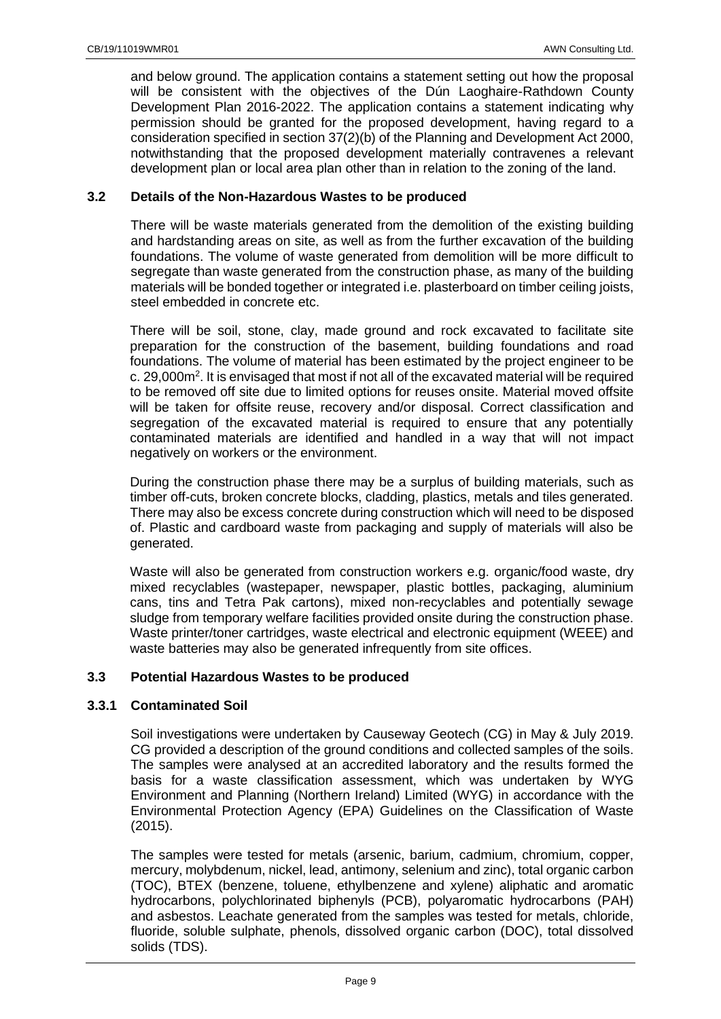and below ground. The application contains a statement setting out how the proposal will be consistent with the objectives of the Dún Laoghaire-Rathdown County Development Plan 2016-2022. The application contains a statement indicating why permission should be granted for the proposed development, having regard to a consideration specified in section 37(2)(b) of the Planning and Development Act 2000, notwithstanding that the proposed development materially contravenes a relevant development plan or local area plan other than in relation to the zoning of the land.

# <span id="page-8-0"></span>**3.2 Details of the Non-Hazardous Wastes to be produced**

There will be waste materials generated from the demolition of the existing building and hardstanding areas on site, as well as from the further excavation of the building foundations. The volume of waste generated from demolition will be more difficult to segregate than waste generated from the construction phase, as many of the building materials will be bonded together or integrated i.e. plasterboard on timber ceiling joists, steel embedded in concrete etc.

There will be soil, stone, clay, made ground and rock excavated to facilitate site preparation for the construction of the basement, building foundations and road foundations. The volume of material has been estimated by the project engineer to be c. 29,000m<sup>2</sup>. It is envisaged that most if not all of the excavated material will be required to be removed off site due to limited options for reuses onsite. Material moved offsite will be taken for offsite reuse, recovery and/or disposal. Correct classification and segregation of the excavated material is required to ensure that any potentially contaminated materials are identified and handled in a way that will not impact negatively on workers or the environment.

During the construction phase there may be a surplus of building materials, such as timber off-cuts, broken concrete blocks, cladding, plastics, metals and tiles generated. There may also be excess concrete during construction which will need to be disposed of. Plastic and cardboard waste from packaging and supply of materials will also be generated.

Waste will also be generated from construction workers e.g. organic/food waste, dry mixed recyclables (wastepaper, newspaper, plastic bottles, packaging, aluminium cans, tins and Tetra Pak cartons), mixed non-recyclables and potentially sewage sludge from temporary welfare facilities provided onsite during the construction phase. Waste printer/toner cartridges, waste electrical and electronic equipment (WEEE) and waste batteries may also be generated infrequently from site offices.

## <span id="page-8-1"></span>**3.3 Potential Hazardous Wastes to be produced**

## **3.3.1 Contaminated Soil**

Soil investigations were undertaken by Causeway Geotech (CG) in May & July 2019. CG provided a description of the ground conditions and collected samples of the soils. The samples were analysed at an accredited laboratory and the results formed the basis for a waste classification assessment, which was undertaken by WYG Environment and Planning (Northern Ireland) Limited (WYG) in accordance with the Environmental Protection Agency (EPA) Guidelines on the Classification of Waste (2015).

The samples were tested for metals (arsenic, barium, cadmium, chromium, copper, mercury, molybdenum, nickel, lead, antimony, selenium and zinc), total organic carbon (TOC), BTEX (benzene, toluene, ethylbenzene and xylene) aliphatic and aromatic hydrocarbons, polychlorinated biphenyls (PCB), polyaromatic hydrocarbons (PAH) and asbestos. Leachate generated from the samples was tested for metals, chloride, fluoride, soluble sulphate, phenols, dissolved organic carbon (DOC), total dissolved solids (TDS).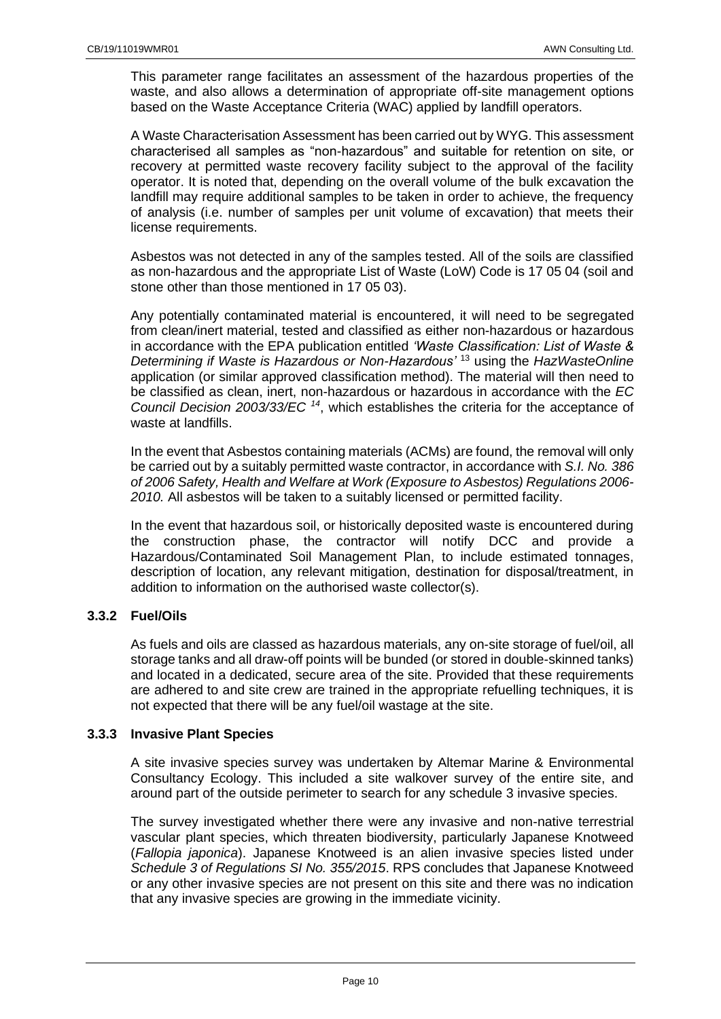This parameter range facilitates an assessment of the hazardous properties of the waste, and also allows a determination of appropriate off-site management options based on the Waste Acceptance Criteria (WAC) applied by landfill operators.

A Waste Characterisation Assessment has been carried out by WYG. This assessment characterised all samples as "non-hazardous" and suitable for retention on site, or recovery at permitted waste recovery facility subject to the approval of the facility operator. It is noted that, depending on the overall volume of the bulk excavation the landfill may require additional samples to be taken in order to achieve, the frequency of analysis (i.e. number of samples per unit volume of excavation) that meets their license requirements.

Asbestos was not detected in any of the samples tested. All of the soils are classified as non-hazardous and the appropriate List of Waste (LoW) Code is 17 05 04 (soil and stone other than those mentioned in 17 05 03).

Any potentially contaminated material is encountered, it will need to be segregated from clean/inert material, tested and classified as either non-hazardous or hazardous in accordance with the EPA publication entitled *'Waste Classification: List of Waste & Determining if Waste is Hazardous or Non-Hazardous'* <sup>13</sup> using the *HazWasteOnline* application (or similar approved classification method). The material will then need to be classified as clean, inert, non-hazardous or hazardous in accordance with the *EC Council Decision 2003/33/EC <sup>14</sup>* , which establishes the criteria for the acceptance of waste at landfills.

In the event that Asbestos containing materials (ACMs) are found, the removal will only be carried out by a suitably permitted waste contractor, in accordance with *S.I. No. 386 of 2006 Safety, Health and Welfare at Work (Exposure to Asbestos) Regulations 2006- 2010.* All asbestos will be taken to a suitably licensed or permitted facility.

In the event that hazardous soil, or historically deposited waste is encountered during the construction phase, the contractor will notify DCC and provide a Hazardous/Contaminated Soil Management Plan, to include estimated tonnages, description of location, any relevant mitigation, destination for disposal/treatment, in addition to information on the authorised waste collector(s).

# **3.3.2 Fuel/Oils**

As fuels and oils are classed as hazardous materials, any on-site storage of fuel/oil, all storage tanks and all draw-off points will be bunded (or stored in double-skinned tanks) and located in a dedicated, secure area of the site. Provided that these requirements are adhered to and site crew are trained in the appropriate refuelling techniques, it is not expected that there will be any fuel/oil wastage at the site.

## **3.3.3 Invasive Plant Species**

A site invasive species survey was undertaken by Altemar Marine & Environmental Consultancy Ecology. This included a site walkover survey of the entire site, and around part of the outside perimeter to search for any schedule 3 invasive species.

The survey investigated whether there were any invasive and non-native terrestrial vascular plant species, which threaten biodiversity, particularly Japanese Knotweed (*Fallopia japonica*). Japanese Knotweed is an alien invasive species listed under *Schedule 3 of Regulations SI No. 355/2015*. RPS concludes that Japanese Knotweed or any other invasive species are not present on this site and there was no indication that any invasive species are growing in the immediate vicinity.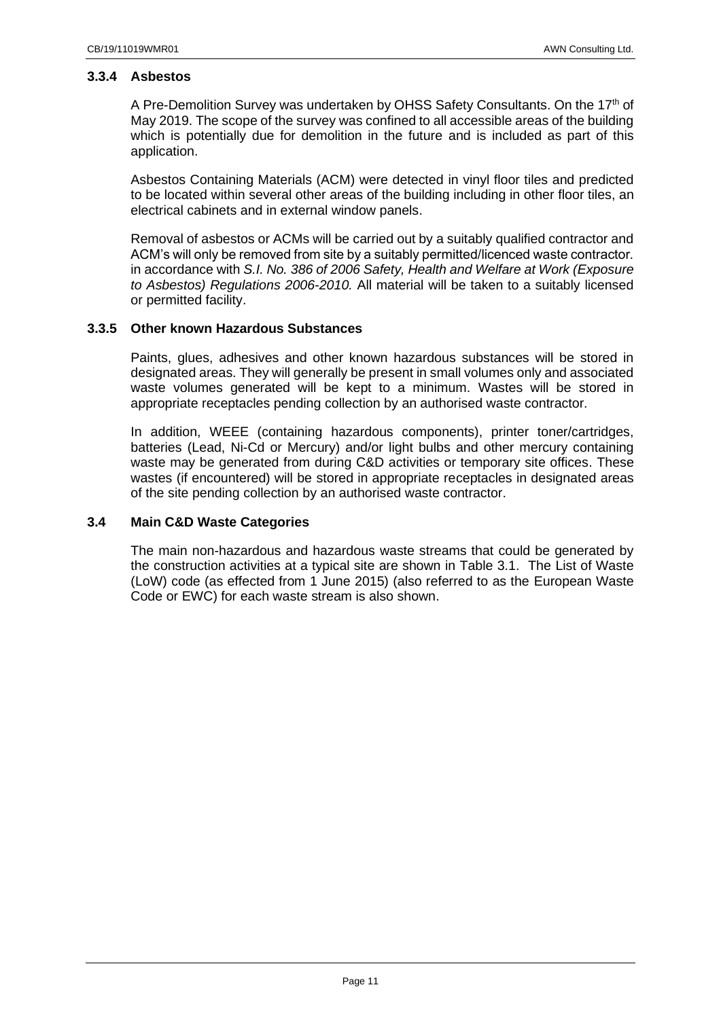## **3.3.4 Asbestos**

A Pre-Demolition Survey was undertaken by OHSS Safety Consultants. On the 17<sup>th</sup> of May 2019. The scope of the survey was confined to all accessible areas of the building which is potentially due for demolition in the future and is included as part of this application.

Asbestos Containing Materials (ACM) were detected in vinyl floor tiles and predicted to be located within several other areas of the building including in other floor tiles, an electrical cabinets and in external window panels.

Removal of asbestos or ACMs will be carried out by a suitably qualified contractor and ACM's will only be removed from site by a suitably permitted/licenced waste contractor. in accordance with *S.I. No. 386 of 2006 Safety, Health and Welfare at Work (Exposure to Asbestos) Regulations 2006-2010.* All material will be taken to a suitably licensed or permitted facility.

## **3.3.5 Other known Hazardous Substances**

Paints, glues, adhesives and other known hazardous substances will be stored in designated areas. They will generally be present in small volumes only and associated waste volumes generated will be kept to a minimum. Wastes will be stored in appropriate receptacles pending collection by an authorised waste contractor.

In addition, WEEE (containing hazardous components), printer toner/cartridges, batteries (Lead, Ni-Cd or Mercury) and/or light bulbs and other mercury containing waste may be generated from during C&D activities or temporary site offices. These wastes (if encountered) will be stored in appropriate receptacles in designated areas of the site pending collection by an authorised waste contractor.

## <span id="page-10-0"></span>**3.4 Main C&D Waste Categories**

The main non-hazardous and hazardous waste streams that could be generated by the construction activities at a typical site are shown in Table 3.1. The List of Waste (LoW) code (as effected from 1 June 2015) (also referred to as the European Waste Code or EWC) for each waste stream is also shown.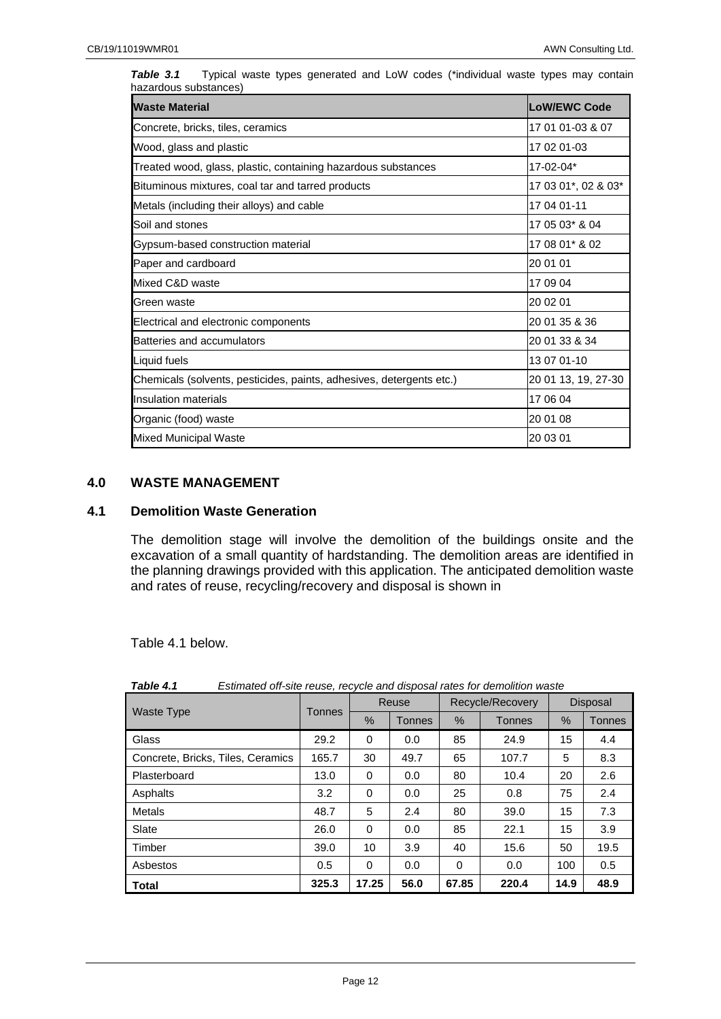| <b>Waste Material</b>                                                | <b>LoW/EWC Code</b> |  |  |  |
|----------------------------------------------------------------------|---------------------|--|--|--|
| Concrete, bricks, tiles, ceramics                                    | 17 01 01-03 & 07    |  |  |  |
| Wood, glass and plastic                                              | 17 02 01-03         |  |  |  |
| Treated wood, glass, plastic, containing hazardous substances        | 17-02-04*           |  |  |  |
| Bituminous mixtures, coal tar and tarred products                    | 17 03 01*, 02 & 03* |  |  |  |
| Metals (including their alloys) and cable                            | 17 04 01-11         |  |  |  |
| Soil and stones                                                      | 17 05 03* & 04      |  |  |  |
| Gypsum-based construction material                                   | 17 08 01* & 02      |  |  |  |
| Paper and cardboard                                                  | 20 01 01            |  |  |  |
| Mixed C&D waste                                                      | 17 09 04            |  |  |  |
| Green waste                                                          | 20 02 01            |  |  |  |
| Electrical and electronic components                                 | 20 01 35 & 36       |  |  |  |
| Batteries and accumulators                                           | 20 01 33 & 34       |  |  |  |
| Liquid fuels                                                         | 13 07 01-10         |  |  |  |
| Chemicals (solvents, pesticides, paints, adhesives, detergents etc.) | 20 01 13, 19, 27-30 |  |  |  |
| <b>Insulation materials</b>                                          | 17 06 04            |  |  |  |
| Organic (food) waste                                                 | 20 01 08            |  |  |  |
| <b>Mixed Municipal Waste</b>                                         | 20 03 01            |  |  |  |

**Table 3.1** Typical waste types generated and LoW codes (\*individual waste types may contain hazardous substances)

## <span id="page-11-0"></span>**4.0 WASTE MANAGEMENT**

## <span id="page-11-1"></span>**4.1 Demolition Waste Generation**

The demolition stage will involve the demolition of the buildings onsite and the excavation of a small quantity of hardstanding. The demolition areas are identified in the planning drawings provided with this application. The anticipated demolition waste [and rates of reuse, recycling/recovery and disposal is shown in](#page-11-2) 

<span id="page-11-2"></span>[Table](#page-11-2) 4.1 below.

|                                   |               | Reuse    |               | Recycle/Recovery |        | <b>Disposal</b> |               |
|-----------------------------------|---------------|----------|---------------|------------------|--------|-----------------|---------------|
| <b>Waste Type</b>                 | <b>Tonnes</b> | %        | <b>Tonnes</b> | %                | Tonnes | %               | <b>Tonnes</b> |
| Glass                             | 29.2          | 0        | 0.0           | 85               | 24.9   | 15              | 4.4           |
| Concrete, Bricks, Tiles, Ceramics | 165.7         | 30       | 49.7          | 65               | 107.7  | 5               | 8.3           |
| Plasterboard                      | 13.0          | 0        | 0.0           | 80               | 10.4   | 20              | 2.6           |
| Asphalts                          | 3.2           | $\Omega$ | 0.0           | 25               | 0.8    | 75              | 2.4           |
| <b>Metals</b>                     | 48.7          | 5        | 2.4           | 80               | 39.0   | 15              | 7.3           |
| Slate                             | 26.0          | $\Omega$ | 0.0           | 85               | 22.1   | 15              | 3.9           |
| Timber                            | 39.0          | 10       | 3.9           | 40               | 15.6   | 50              | 19.5          |
| Asbestos                          | 0.5           | $\Omega$ | 0.0           | $\Omega$         | 0.0    | 100             | 0.5           |
| <b>Total</b>                      | 325.3         | 17.25    | 56.0          | 67.85            | 220.4  | 14.9            | 48.9          |

*Table 4.1 Estimated off-site reuse, recycle and disposal rates for demolition waste*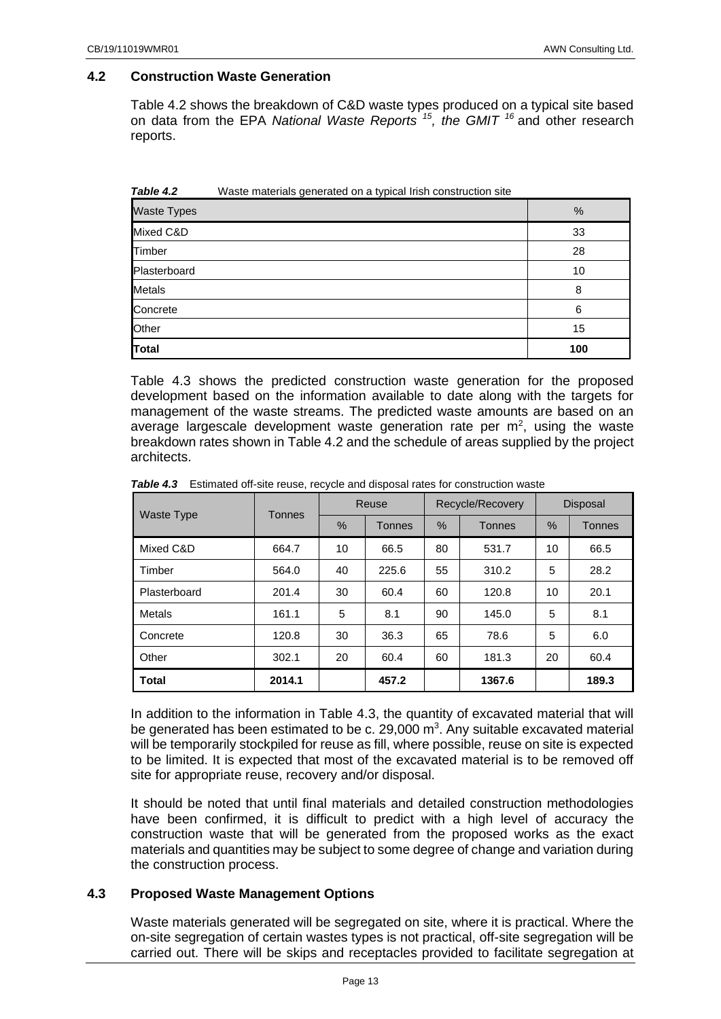## <span id="page-12-0"></span>**4.2 Construction Waste Generation**

Table 4.2 shows the breakdown of C&D waste types produced on a typical site based on data from the EPA *National Waste Reports <sup>15</sup> , the GMIT <sup>16</sup>* and other research reports.

| Table 4.2          | Waste materials generated on a typical Irish construction site |     |
|--------------------|----------------------------------------------------------------|-----|
| <b>Waste Types</b> |                                                                | %   |
| Mixed C&D          |                                                                | 33  |
| Timber             |                                                                | 28  |
| Plasterboard       |                                                                | 10  |
| <b>Metals</b>      |                                                                | 8   |
| Concrete           |                                                                | 6   |
| Other              |                                                                | 15  |
| Total              |                                                                | 100 |

Table 4.3 shows the predicted construction waste generation for the proposed development based on the information available to date along with the targets for management of the waste streams. The predicted waste amounts are based on an average largescale development waste generation rate per  $m<sup>2</sup>$ , using the waste breakdown rates shown in Table 4.2 and the schedule of areas supplied by the project architects.

| <b>Waste Type</b> | <b>Tonnes</b> | Reuse |               | Recycle/Recovery |               | <b>Disposal</b> |               |
|-------------------|---------------|-------|---------------|------------------|---------------|-----------------|---------------|
|                   |               | $\%$  | <b>Tonnes</b> | $\%$             | <b>Tonnes</b> | %               | <b>Tonnes</b> |
| Mixed C&D         | 664.7         | 10    | 66.5          | 80               | 531.7         | 10              | 66.5          |
| Timber            | 564.0         | 40    | 225.6         | 55               | 310.2         | 5               | 28.2          |
| Plasterboard      | 201.4         | 30    | 60.4          | 60               | 120.8         | 10              | 20.1          |
| Metals            | 161.1         | 5     | 8.1           | 90               | 145.0         | 5               | 8.1           |
| Concrete          | 120.8         | 30    | 36.3          | 65               | 78.6          | 5               | 6.0           |
| Other             | 302.1         | 20    | 60.4          | 60               | 181.3         | 20              | 60.4          |
| <b>Total</b>      | 2014.1        |       | 457.2         |                  | 1367.6        |                 | 189.3         |

**Table 4.3** Estimated off-site reuse, recycle and disposal rates for construction waste

In addition to the information in Table 4.3, the quantity of excavated material that will be generated has been estimated to be c. 29,000  $m<sup>3</sup>$ . Any suitable excavated material will be temporarily stockpiled for reuse as fill, where possible, reuse on site is expected to be limited. It is expected that most of the excavated material is to be removed off site for appropriate reuse, recovery and/or disposal.

It should be noted that until final materials and detailed construction methodologies have been confirmed, it is difficult to predict with a high level of accuracy the construction waste that will be generated from the proposed works as the exact materials and quantities may be subject to some degree of change and variation during the construction process.

## <span id="page-12-1"></span>**4.3 Proposed Waste Management Options**

Waste materials generated will be segregated on site, where it is practical. Where the on-site segregation of certain wastes types is not practical, off-site segregation will be carried out. There will be skips and receptacles provided to facilitate segregation at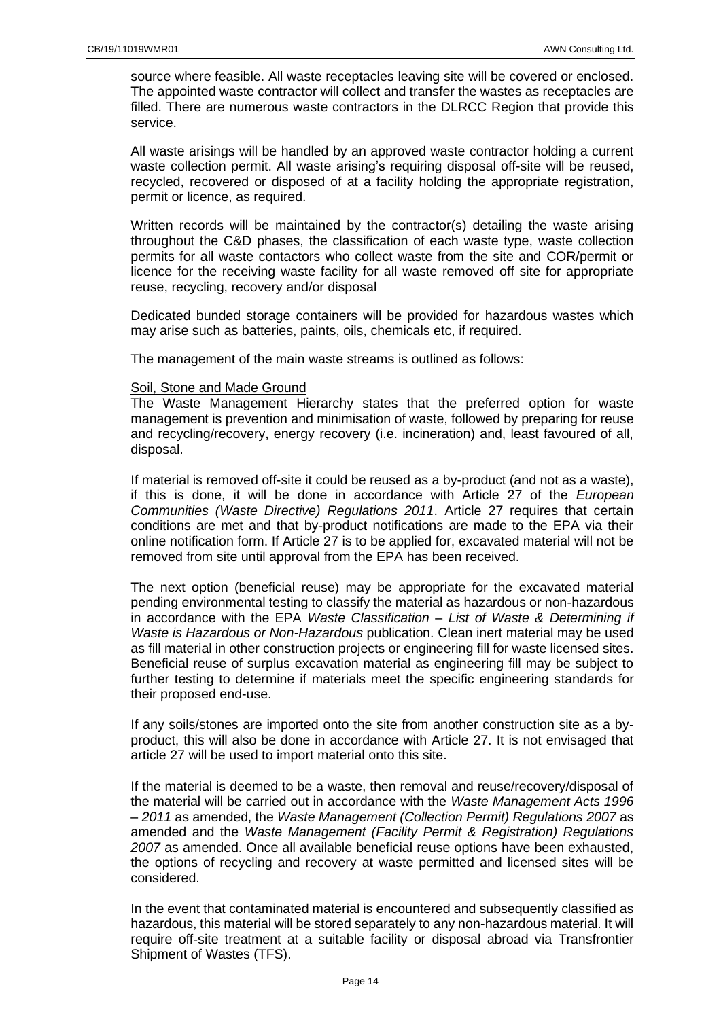source where feasible. All waste receptacles leaving site will be covered or enclosed. The appointed waste contractor will collect and transfer the wastes as receptacles are filled. There are numerous waste contractors in the DLRCC Region that provide this service.

All waste arisings will be handled by an approved waste contractor holding a current waste collection permit. All waste arising's requiring disposal off-site will be reused, recycled, recovered or disposed of at a facility holding the appropriate registration, permit or licence, as required.

Written records will be maintained by the contractor(s) detailing the waste arising throughout the C&D phases, the classification of each waste type, waste collection permits for all waste contactors who collect waste from the site and COR/permit or licence for the receiving waste facility for all waste removed off site for appropriate reuse, recycling, recovery and/or disposal

Dedicated bunded storage containers will be provided for hazardous wastes which may arise such as batteries, paints, oils, chemicals etc, if required.

The management of the main waste streams is outlined as follows:

## Soil, Stone and Made Ground

The Waste Management Hierarchy states that the preferred option for waste management is prevention and minimisation of waste, followed by preparing for reuse and recycling/recovery, energy recovery (i.e. incineration) and, least favoured of all, disposal.

If material is removed off-site it could be reused as a by-product (and not as a waste), if this is done, it will be done in accordance with Article 27 of the *European Communities (Waste Directive) Regulations 2011*. Article 27 requires that certain conditions are met and that by-product notifications are made to the EPA via their online notification form. If Article 27 is to be applied for, excavated material will not be removed from site until approval from the EPA has been received.

The next option (beneficial reuse) may be appropriate for the excavated material pending environmental testing to classify the material as hazardous or non-hazardous in accordance with the EPA *Waste Classification – List of Waste & Determining if Waste is Hazardous or Non-Hazardous* publication. Clean inert material may be used as fill material in other construction projects or engineering fill for waste licensed sites. Beneficial reuse of surplus excavation material as engineering fill may be subject to further testing to determine if materials meet the specific engineering standards for their proposed end-use.

If any soils/stones are imported onto the site from another construction site as a byproduct, this will also be done in accordance with Article 27. It is not envisaged that article 27 will be used to import material onto this site.

If the material is deemed to be a waste, then removal and reuse/recovery/disposal of the material will be carried out in accordance with the *Waste Management Acts 1996 – 2011* as amended, the *Waste Management (Collection Permit) Regulations 2007* as amended and the *Waste Management (Facility Permit & Registration) Regulations 2007* as amended. Once all available beneficial reuse options have been exhausted, the options of recycling and recovery at waste permitted and licensed sites will be considered.

In the event that contaminated material is encountered and subsequently classified as hazardous, this material will be stored separately to any non-hazardous material. It will require off-site treatment at a suitable facility or disposal abroad via Transfrontier Shipment of Wastes (TFS).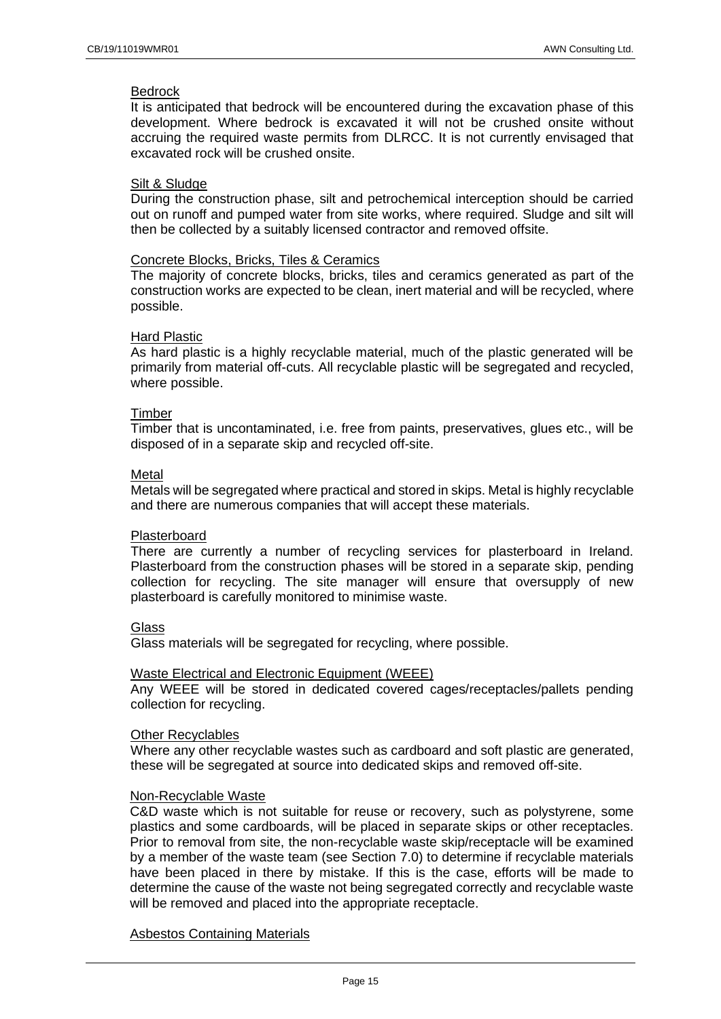#### Bedrock

It is anticipated that bedrock will be encountered during the excavation phase of this development. Where bedrock is excavated it will not be crushed onsite without accruing the required waste permits from DLRCC. It is not currently envisaged that excavated rock will be crushed onsite.

## Silt & Sludge

During the construction phase, silt and petrochemical interception should be carried out on runoff and pumped water from site works, where required. Sludge and silt will then be collected by a suitably licensed contractor and removed offsite.

### Concrete Blocks, Bricks, Tiles & Ceramics

The majority of concrete blocks, bricks, tiles and ceramics generated as part of the construction works are expected to be clean, inert material and will be recycled, where possible.

#### Hard Plastic

As hard plastic is a highly recyclable material, much of the plastic generated will be primarily from material off-cuts. All recyclable plastic will be segregated and recycled, where possible.

#### Timber

Timber that is uncontaminated, i.e. free from paints, preservatives, glues etc., will be disposed of in a separate skip and recycled off-site.

#### Metal

Metals will be segregated where practical and stored in skips. Metal is highly recyclable and there are numerous companies that will accept these materials.

## Plasterboard

There are currently a number of recycling services for plasterboard in Ireland. Plasterboard from the construction phases will be stored in a separate skip, pending collection for recycling. The site manager will ensure that oversupply of new plasterboard is carefully monitored to minimise waste.

## **Glass**

Glass materials will be segregated for recycling, where possible.

## Waste Electrical and Electronic Equipment (WEEE)

Any WEEE will be stored in dedicated covered cages/receptacles/pallets pending collection for recycling.

#### Other Recyclables

Where any other recyclable wastes such as cardboard and soft plastic are generated, these will be segregated at source into dedicated skips and removed off-site.

#### Non-Recyclable Waste

C&D waste which is not suitable for reuse or recovery, such as polystyrene, some plastics and some cardboards, will be placed in separate skips or other receptacles. Prior to removal from site, the non-recyclable waste skip/receptacle will be examined by a member of the waste team (see Section 7.0) to determine if recyclable materials have been placed in there by mistake. If this is the case, efforts will be made to determine the cause of the waste not being segregated correctly and recyclable waste will be removed and placed into the appropriate receptacle.

#### Asbestos Containing Materials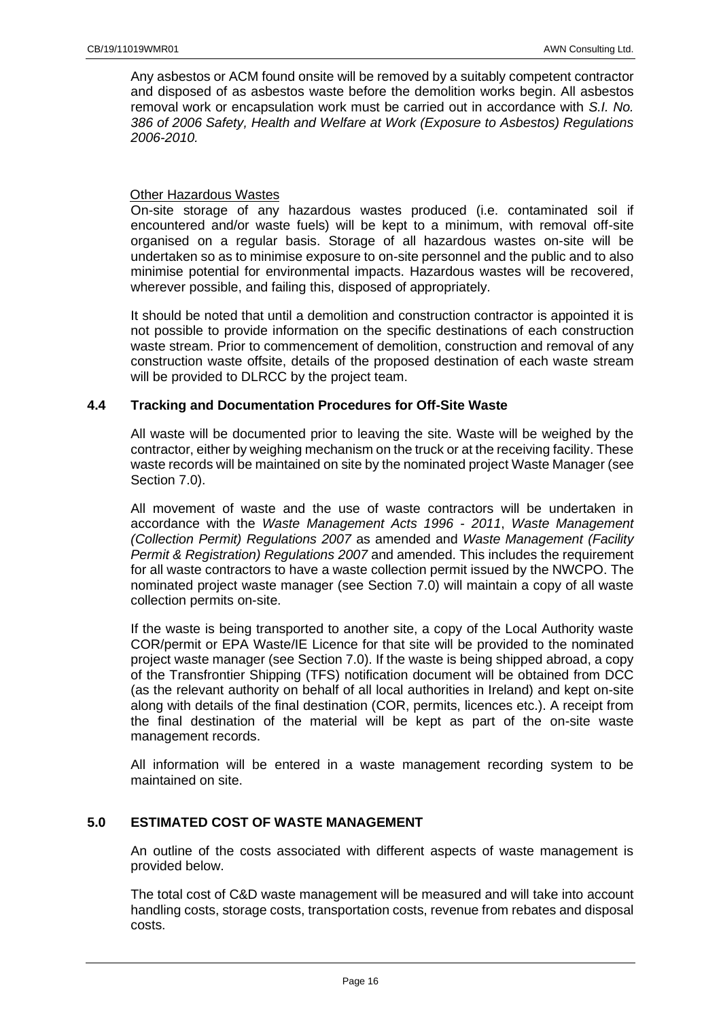Any asbestos or ACM found onsite will be removed by a suitably competent contractor and disposed of as asbestos waste before the demolition works begin. All asbestos removal work or encapsulation work must be carried out in accordance with *S.I. No. 386 of 2006 Safety, Health and Welfare at Work (Exposure to Asbestos) Regulations 2006-2010.*

## Other Hazardous Wastes

On-site storage of any hazardous wastes produced (i.e. contaminated soil if encountered and/or waste fuels) will be kept to a minimum, with removal off-site organised on a regular basis. Storage of all hazardous wastes on-site will be undertaken so as to minimise exposure to on-site personnel and the public and to also minimise potential for environmental impacts. Hazardous wastes will be recovered, wherever possible, and failing this, disposed of appropriately.

It should be noted that until a demolition and construction contractor is appointed it is not possible to provide information on the specific destinations of each construction waste stream. Prior to commencement of demolition, construction and removal of any construction waste offsite, details of the proposed destination of each waste stream will be provided to DLRCC by the project team.

## <span id="page-15-0"></span>**4.4 Tracking and Documentation Procedures for Off-Site Waste**

All waste will be documented prior to leaving the site. Waste will be weighed by the contractor, either by weighing mechanism on the truck or at the receiving facility. These waste records will be maintained on site by the nominated project Waste Manager (see Section 7.0).

All movement of waste and the use of waste contractors will be undertaken in accordance with the *Waste Management Acts 1996 - 2011*, *Waste Management (Collection Permit) Regulations 2007* as amended and *Waste Management (Facility Permit & Registration) Regulations 2007* and amended. This includes the requirement for all waste contractors to have a waste collection permit issued by the NWCPO. The nominated project waste manager (see Section 7.0) will maintain a copy of all waste collection permits on-site.

If the waste is being transported to another site, a copy of the Local Authority waste COR/permit or EPA Waste/IE Licence for that site will be provided to the nominated project waste manager (see Section 7.0). If the waste is being shipped abroad, a copy of the Transfrontier Shipping (TFS) notification document will be obtained from DCC (as the relevant authority on behalf of all local authorities in Ireland) and kept on-site along with details of the final destination (COR, permits, licences etc.). A receipt from the final destination of the material will be kept as part of the on-site waste management records.

All information will be entered in a waste management recording system to be maintained on site.

## <span id="page-15-1"></span>**5.0 ESTIMATED COST OF WASTE MANAGEMENT**

An outline of the costs associated with different aspects of waste management is provided below.

The total cost of C&D waste management will be measured and will take into account handling costs, storage costs, transportation costs, revenue from rebates and disposal costs.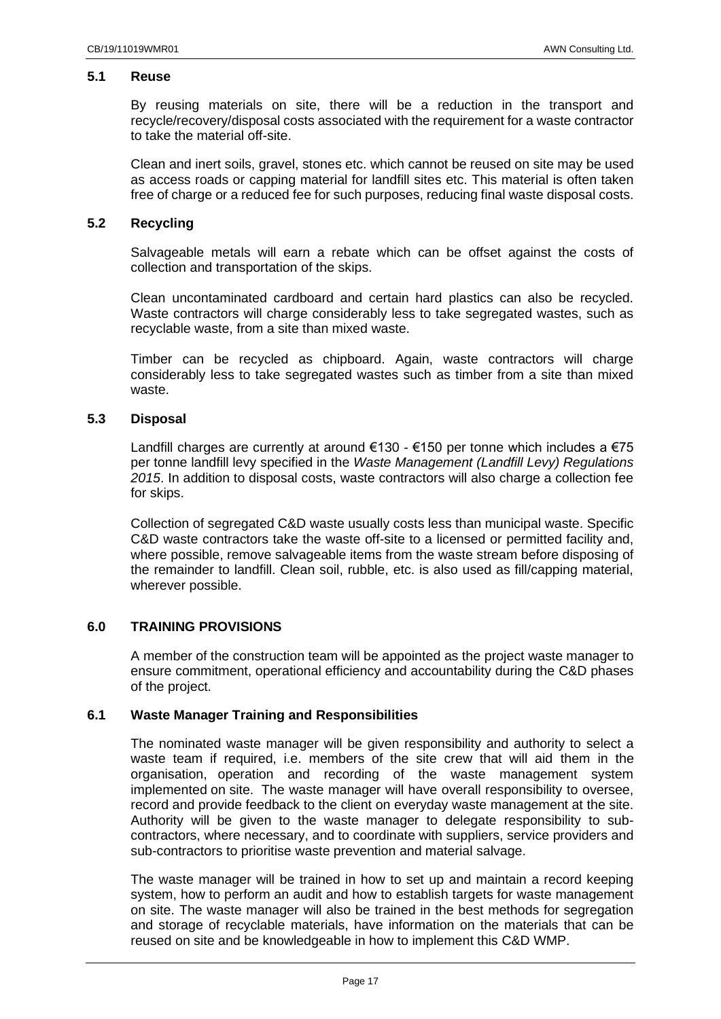## <span id="page-16-0"></span>**5.1 Reuse**

By reusing materials on site, there will be a reduction in the transport and recycle/recovery/disposal costs associated with the requirement for a waste contractor to take the material off-site.

Clean and inert soils, gravel, stones etc. which cannot be reused on site may be used as access roads or capping material for landfill sites etc. This material is often taken free of charge or a reduced fee for such purposes, reducing final waste disposal costs.

## <span id="page-16-1"></span>**5.2 Recycling**

Salvageable metals will earn a rebate which can be offset against the costs of collection and transportation of the skips.

Clean uncontaminated cardboard and certain hard plastics can also be recycled. Waste contractors will charge considerably less to take segregated wastes, such as recyclable waste, from a site than mixed waste.

Timber can be recycled as chipboard. Again, waste contractors will charge considerably less to take segregated wastes such as timber from a site than mixed waste.

#### <span id="page-16-2"></span>**5.3 Disposal**

Landfill charges are currently at around  $€130 - €150$  per tonne which includes a  $€75$ per tonne landfill levy specified in the *Waste Management (Landfill Levy) Regulations 2015*. In addition to disposal costs, waste contractors will also charge a collection fee for skips.

Collection of segregated C&D waste usually costs less than municipal waste. Specific C&D waste contractors take the waste off-site to a licensed or permitted facility and, where possible, remove salvageable items from the waste stream before disposing of the remainder to landfill. Clean soil, rubble, etc. is also used as fill/capping material, wherever possible.

## <span id="page-16-3"></span>**6.0 TRAINING PROVISIONS**

A member of the construction team will be appointed as the project waste manager to ensure commitment, operational efficiency and accountability during the C&D phases of the project.

## <span id="page-16-4"></span>**6.1 Waste Manager Training and Responsibilities**

The nominated waste manager will be given responsibility and authority to select a waste team if required, i.e. members of the site crew that will aid them in the organisation, operation and recording of the waste management system implemented on site. The waste manager will have overall responsibility to oversee, record and provide feedback to the client on everyday waste management at the site. Authority will be given to the waste manager to delegate responsibility to subcontractors, where necessary, and to coordinate with suppliers, service providers and sub-contractors to prioritise waste prevention and material salvage.

The waste manager will be trained in how to set up and maintain a record keeping system, how to perform an audit and how to establish targets for waste management on site. The waste manager will also be trained in the best methods for segregation and storage of recyclable materials, have information on the materials that can be reused on site and be knowledgeable in how to implement this C&D WMP.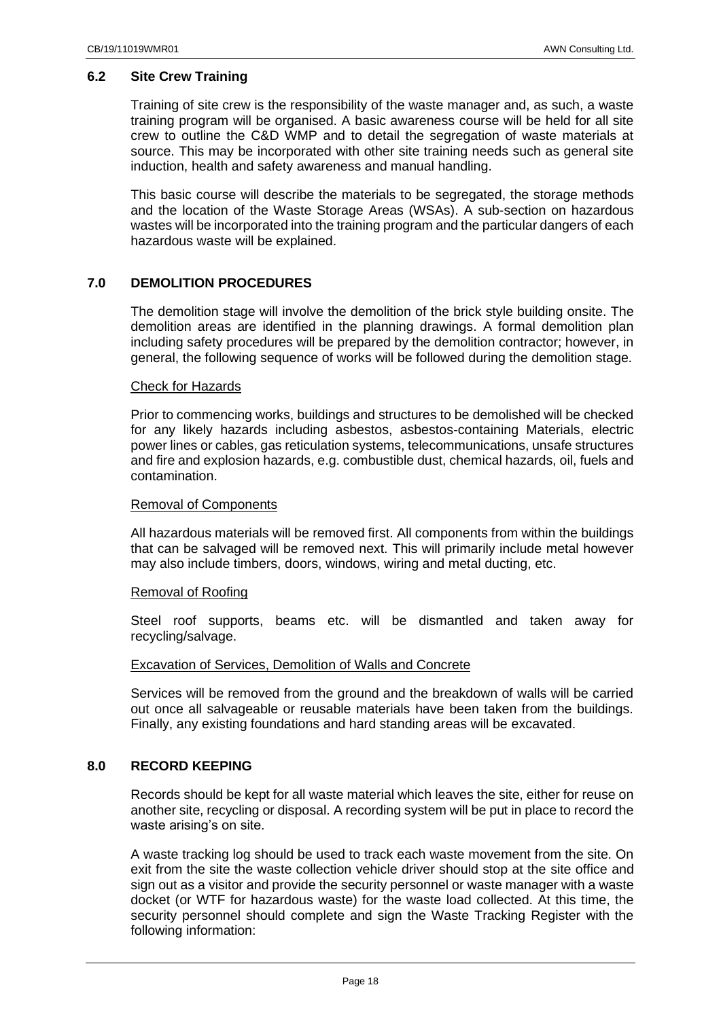## <span id="page-17-0"></span>**6.2 Site Crew Training**

Training of site crew is the responsibility of the waste manager and, as such, a waste training program will be organised. A basic awareness course will be held for all site crew to outline the C&D WMP and to detail the segregation of waste materials at source. This may be incorporated with other site training needs such as general site induction, health and safety awareness and manual handling.

This basic course will describe the materials to be segregated, the storage methods and the location of the Waste Storage Areas (WSAs). A sub-section on hazardous wastes will be incorporated into the training program and the particular dangers of each hazardous waste will be explained.

## <span id="page-17-1"></span>**7.0 DEMOLITION PROCEDURES**

The demolition stage will involve the demolition of the brick style building onsite. The demolition areas are identified in the planning drawings. A formal demolition plan including safety procedures will be prepared by the demolition contractor; however, in general, the following sequence of works will be followed during the demolition stage.

#### Check for Hazards

Prior to commencing works, buildings and structures to be demolished will be checked for any likely hazards including asbestos, asbestos-containing Materials, electric power lines or cables, gas reticulation systems, telecommunications, unsafe structures and fire and explosion hazards, e.g. combustible dust, chemical hazards, oil, fuels and contamination.

#### Removal of Components

All hazardous materials will be removed first. All components from within the buildings that can be salvaged will be removed next. This will primarily include metal however may also include timbers, doors, windows, wiring and metal ducting, etc.

## Removal of Roofing

Steel roof supports, beams etc. will be dismantled and taken away for recycling/salvage.

## Excavation of Services, Demolition of Walls and Concrete

Services will be removed from the ground and the breakdown of walls will be carried out once all salvageable or reusable materials have been taken from the buildings. Finally, any existing foundations and hard standing areas will be excavated.

## <span id="page-17-2"></span>**8.0 RECORD KEEPING**

Records should be kept for all waste material which leaves the site, either for reuse on another site, recycling or disposal. A recording system will be put in place to record the waste arising's on site.

A waste tracking log should be used to track each waste movement from the site. On exit from the site the waste collection vehicle driver should stop at the site office and sign out as a visitor and provide the security personnel or waste manager with a waste docket (or WTF for hazardous waste) for the waste load collected. At this time, the security personnel should complete and sign the Waste Tracking Register with the following information: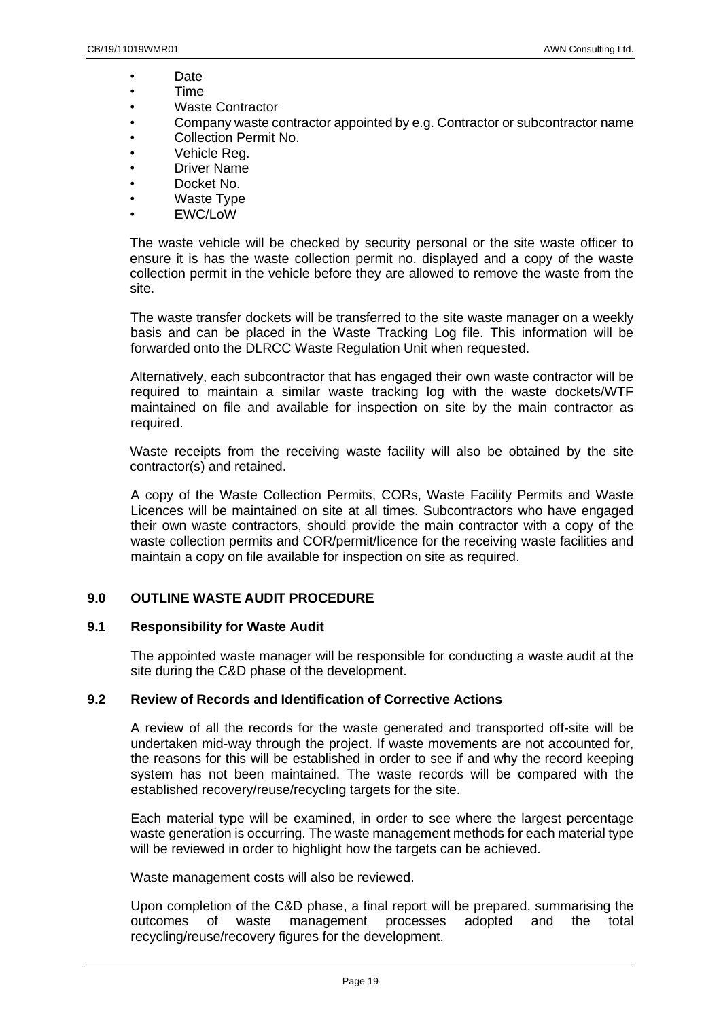- Date
- Time
- Waste Contractor
- Company waste contractor appointed by e.g. Contractor or subcontractor name
- Collection Permit No.
- Vehicle Reg.
- Driver Name
- Docket No.
- Waste Type
- EWC/LoW

The waste vehicle will be checked by security personal or the site waste officer to ensure it is has the waste collection permit no. displayed and a copy of the waste collection permit in the vehicle before they are allowed to remove the waste from the site.

The waste transfer dockets will be transferred to the site waste manager on a weekly basis and can be placed in the Waste Tracking Log file. This information will be forwarded onto the DLRCC Waste Regulation Unit when requested.

Alternatively, each subcontractor that has engaged their own waste contractor will be required to maintain a similar waste tracking log with the waste dockets/WTF maintained on file and available for inspection on site by the main contractor as required.

Waste receipts from the receiving waste facility will also be obtained by the site contractor(s) and retained.

A copy of the Waste Collection Permits, CORs, Waste Facility Permits and Waste Licences will be maintained on site at all times. Subcontractors who have engaged their own waste contractors, should provide the main contractor with a copy of the waste collection permits and COR/permit/licence for the receiving waste facilities and maintain a copy on file available for inspection on site as required.

## <span id="page-18-0"></span>**9.0 OUTLINE WASTE AUDIT PROCEDURE**

## <span id="page-18-1"></span>**9.1 Responsibility for Waste Audit**

The appointed waste manager will be responsible for conducting a waste audit at the site during the C&D phase of the development.

## <span id="page-18-2"></span>**9.2 Review of Records and Identification of Corrective Actions**

A review of all the records for the waste generated and transported off-site will be undertaken mid-way through the project. If waste movements are not accounted for, the reasons for this will be established in order to see if and why the record keeping system has not been maintained. The waste records will be compared with the established recovery/reuse/recycling targets for the site.

Each material type will be examined, in order to see where the largest percentage waste generation is occurring. The waste management methods for each material type will be reviewed in order to highlight how the targets can be achieved.

Waste management costs will also be reviewed.

Upon completion of the C&D phase, a final report will be prepared, summarising the outcomes of waste management processes adopted and the total recycling/reuse/recovery figures for the development.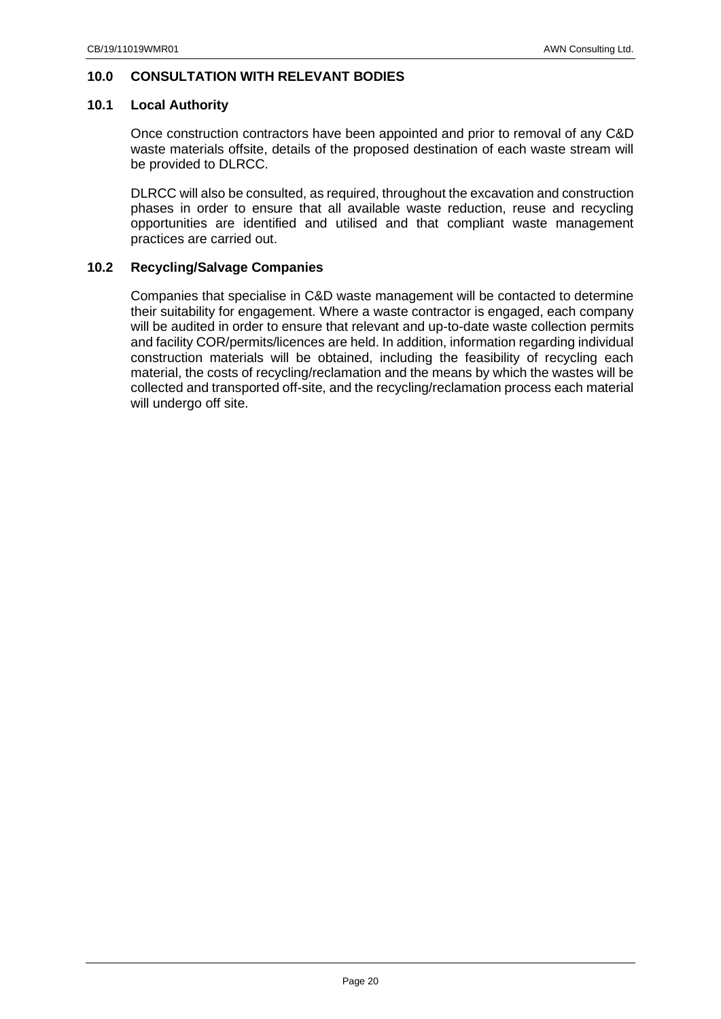## <span id="page-19-0"></span>**10.0 CONSULTATION WITH RELEVANT BODIES**

## <span id="page-19-1"></span>**10.1 Local Authority**

Once construction contractors have been appointed and prior to removal of any C&D waste materials offsite, details of the proposed destination of each waste stream will be provided to DLRCC.

DLRCC will also be consulted, as required, throughout the excavation and construction phases in order to ensure that all available waste reduction, reuse and recycling opportunities are identified and utilised and that compliant waste management practices are carried out.

## <span id="page-19-2"></span>**10.2 Recycling/Salvage Companies**

Companies that specialise in C&D waste management will be contacted to determine their suitability for engagement. Where a waste contractor is engaged, each company will be audited in order to ensure that relevant and up-to-date waste collection permits and facility COR/permits/licences are held. In addition, information regarding individual construction materials will be obtained, including the feasibility of recycling each material, the costs of recycling/reclamation and the means by which the wastes will be collected and transported off-site, and the recycling/reclamation process each material will undergo off site.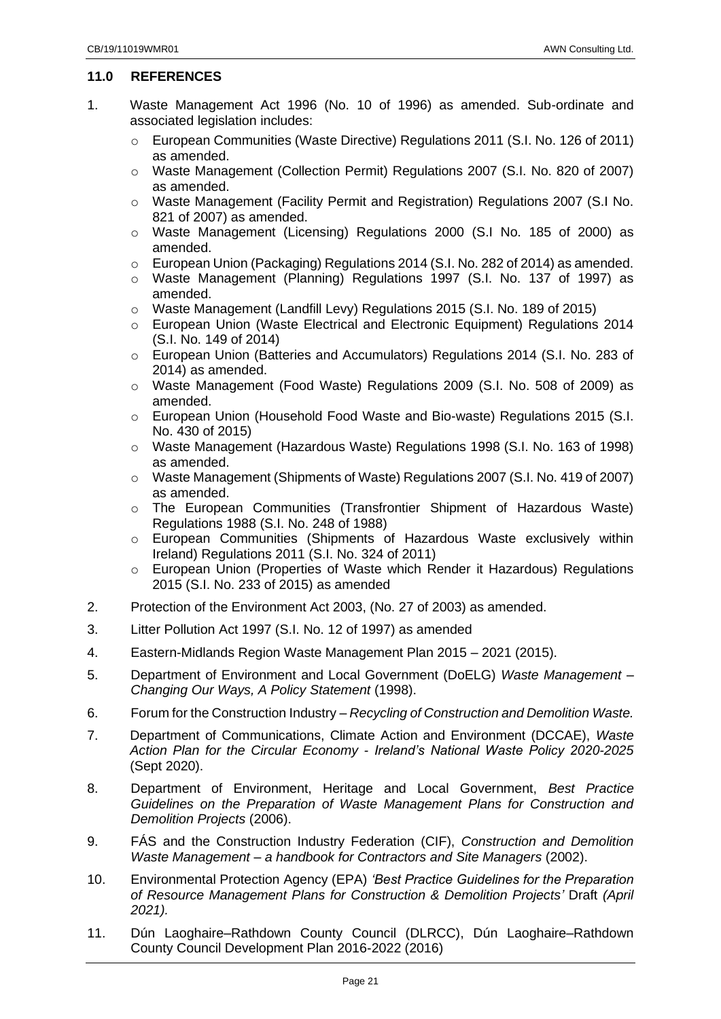## <span id="page-20-0"></span>**11.0 REFERENCES**

- 1. Waste Management Act 1996 (No. 10 of 1996) as amended. Sub-ordinate and associated legislation includes:
	- o European Communities (Waste Directive) Regulations 2011 (S.I. No. 126 of 2011) as amended.
	- o Waste Management (Collection Permit) Regulations 2007 (S.I. No. 820 of 2007) as amended.
	- o Waste Management (Facility Permit and Registration) Regulations 2007 (S.I No. 821 of 2007) as amended.
	- o Waste Management (Licensing) Regulations 2000 (S.I No. 185 of 2000) as amended.
	- o European Union (Packaging) Regulations 2014 (S.I. No. 282 of 2014) as amended.
	- o Waste Management (Planning) Regulations 1997 (S.I. No. 137 of 1997) as amended.
	- o Waste Management (Landfill Levy) Regulations 2015 (S.I. No. 189 of 2015)
	- o European Union (Waste Electrical and Electronic Equipment) Regulations 2014 (S.I. No. 149 of 2014)
	- o European Union (Batteries and Accumulators) Regulations 2014 (S.I. No. 283 of 2014) as amended.
	- o Waste Management (Food Waste) Regulations 2009 (S.I. No. 508 of 2009) as amended.
	- o European Union (Household Food Waste and Bio-waste) Regulations 2015 (S.I. No. 430 of 2015)
	- o Waste Management (Hazardous Waste) Regulations 1998 (S.I. No. 163 of 1998) as amended.
	- o Waste Management (Shipments of Waste) Regulations 2007 (S.I. No. 419 of 2007) as amended.
	- o The European Communities (Transfrontier Shipment of Hazardous Waste) Regulations 1988 (S.I. No. 248 of 1988)
	- o European Communities (Shipments of Hazardous Waste exclusively within Ireland) Regulations 2011 (S.I. No. 324 of 2011)
	- o European Union (Properties of Waste which Render it Hazardous) Regulations 2015 (S.I. No. 233 of 2015) as amended
- 2. Protection of the Environment Act 2003, (No. 27 of 2003) as amended.
- 3. Litter Pollution Act 1997 (S.I. No. 12 of 1997) as amended
- 4. Eastern-Midlands Region Waste Management Plan 2015 2021 (2015).
- 5. Department of Environment and Local Government (DoELG) *Waste Management – Changing Our Ways, A Policy Statement* (1998).
- 6. Forum for the Construction Industry *Recycling of Construction and Demolition Waste.*
- 7. Department of Communications, Climate Action and Environment (DCCAE), *Waste Action Plan for the Circular Economy - Ireland's National Waste Policy 2020-2025* (Sept 2020).
- 8. Department of Environment, Heritage and Local Government, *Best Practice Guidelines on the Preparation of Waste Management Plans for Construction and Demolition Projects* (2006).
- 9. FÁS and the Construction Industry Federation (CIF), *Construction and Demolition Waste Management – a handbook for Contractors and Site Managers* (2002).
- 10. Environmental Protection Agency (EPA) *'Best Practice Guidelines for the Preparation of Resource Management Plans for Construction & Demolition Projects'* Draft *(April 2021).*
- 11. Dún Laoghaire–Rathdown County Council (DLRCC), Dún Laoghaire–Rathdown County Council Development Plan 2016-2022 (2016)